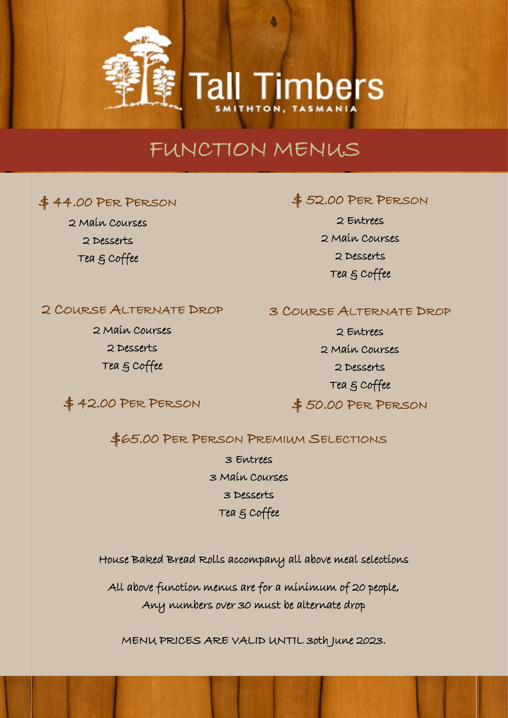### FUNCTION MENUS

d

**Tall Timbers** 

### \$ 44.00 PER PERSON

2 Main Courses 2 Desserts Tea & Coffee

### \$ 52.00 PER PERSON

2 Entrees 2 Main Courses 2 Desserts Tea & Coffee

### 2 COURSE ALTERNATE DROP

2 Main Courses 2 Desserts Tea & Coffee

### 3 COURSE ALTERNATE DROP

2 Entrees 2 Main Courses 2 Desserts Tea & Coffee \$50.00 PER PERSON

\$ 42.00 PER PERSON

#### \$65.00 PER PERSON PREMIUM SELECTIONS

3 Entrees 3 Main Courses 3 Desserts Tea & Coffee

House Baked Bread Rolls accompany all above meal selections

All above function menus are for a minimum of 20 people, Any numbers over 30 must be alternate drop

MENU PRICES ARE VALID UNTIL 3oth June 2023.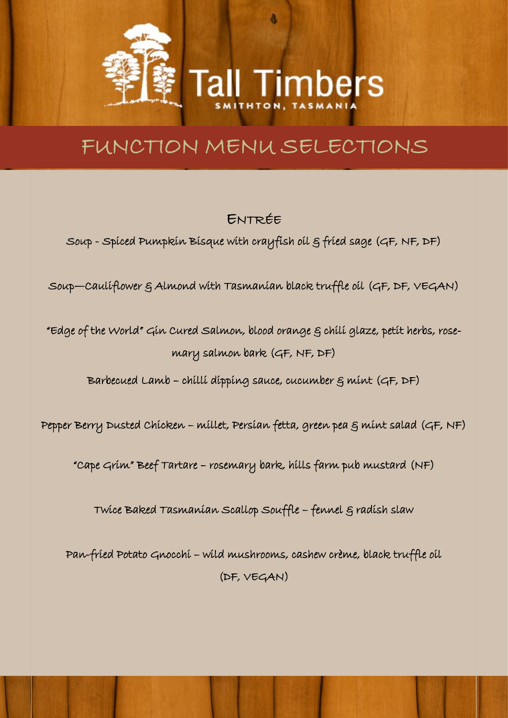# FUNCTION MENU SELECTIONS

d

**Timbers** 

### ENTRÉE

Soup - Spiced Pumpkin Bisque with crayfish oil & fried sage (GF, NF, DF)

Soup—Cauliflower & Almond with Tasmanian black truffle oil (GF, DF, VEGAN)

"Edge of the World" Gin Cured Salmon, blood orange & chili glaze, petit herbs, rosemary salmon bark (GF, NF, DF)

Barbecued Lamb - chilli dipping sauce, cucumber  $\xi$  mint (GF, DF)

Pepper Berry Dusted Chicken – millet, Persian fetta, green pea & mint salad (GF, NF)

"Cape Grim" Beef Tartare – rosemary bark, hills farm pub mustard (NF)

Twice Baked Tasmanian Scallop Souffle – fennel & radish slaw

Pan-fried Potato Gnocchi – wild mushrooms, cashew crème, black truffle oil (DF, VEGAN)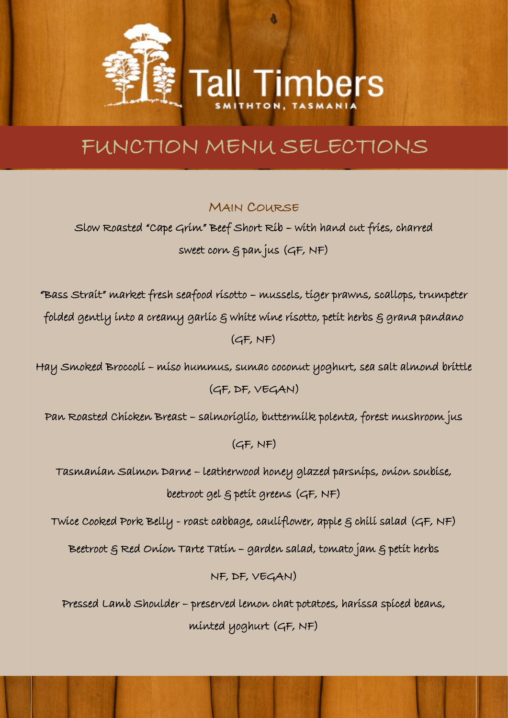### FUNCTION MENU SELECTIONS

d

**Il Timbers** 

#### MAIN COURSE

Slow Roasted "Cape Grim" Beef Short Rib – with hand cut fries, charred sweet corn & pan jus (GF, NF)

"Bass Strait" market fresh seafood risotto – mussels, tiger prawns, scallops, trumpeter folded gently into a creamy garlic  $\varepsilon$  white wine risotto, petit herbs  $\varepsilon$  grana pandano  $(GF, NF)$ 

Hay Smoked Broccoli – miso hummus, sumac coconut yoghurt, sea salt almond brittle (GF, DF, VEGAN)

Pan Roasted Chicken Breast – salmoriglio, buttermilk polenta, forest mushroom jus

(GF, NF)

Tasmanian Salmon Darne – leatherwood honey glazed parsnips, onion soubise, beetroot gel & petit greens (GF, NF)

Twice Cooked Pork Belly - roast cabbage, cauliflower, apple & chili salad (GF, NF)

Beetroot & Red Onion Tarte Tatin – garden salad, tomato jam & petit herbs

NF, DF, VEGAN)

Pressed Lamb Shoulder – preserved lemon chat potatoes, harissa spiced beans, minted yoghurt (GF, NF)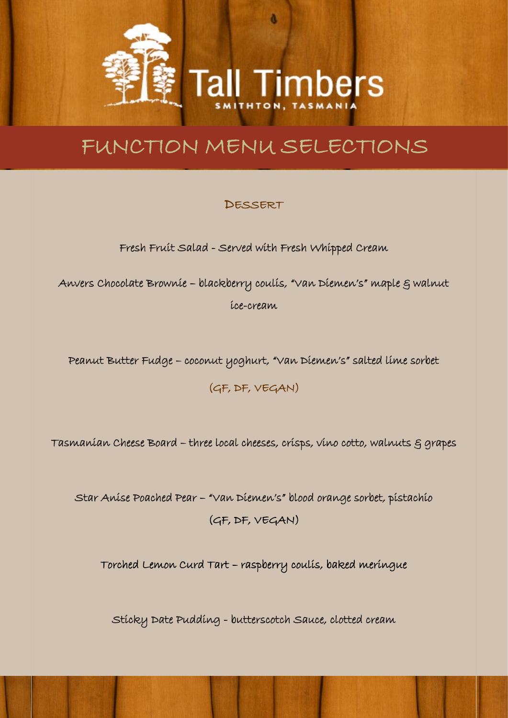# FUNCTION MENU SELECTIONS

d

Il Timbers

DESSERT

Fresh Fruit Salad - Served with Fresh Whipped Cream

Anvers Chocolate Brownie – blackberry coulis, "Van Diemen's" maple & walnut ice-cream

Peanut Butter Fudge – coconut yoghurt, "Van Diemen's" salted lime sorbet

(GF, DF, VEGAN)

Tasmanian Cheese Board – three local cheeses, crisps, vino cotto, walnuts & grapes

Star Anise Poached Pear – "Van Diemen's" blood orange sorbet, pistachio (GF, DF, VEGAN)

Torched Lemon Curd Tart – raspberry coulis, baked meringue

Sticky Date Pudding - butterscotch Sauce, clotted cream